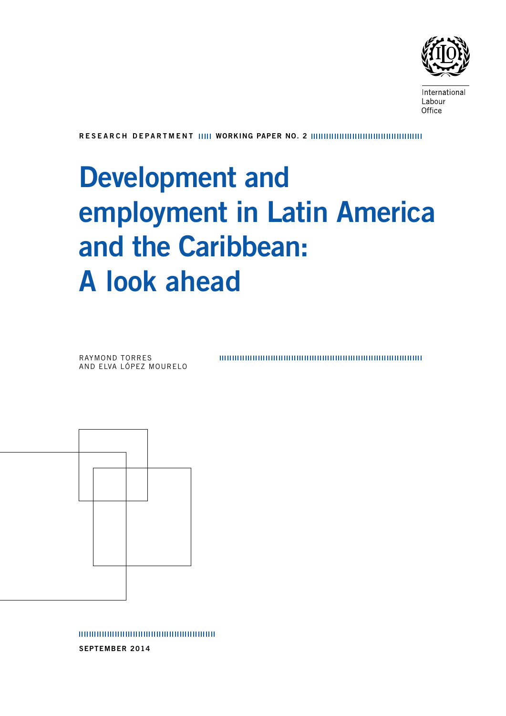

International Labour Office

RESEARCH DEPARTMENT IIIII WORKING PAPER NO. 2

# Development and employment in Latin America and the Caribbean: A look ahead

Raymond torres and Elva lópez mourelo 

september 2014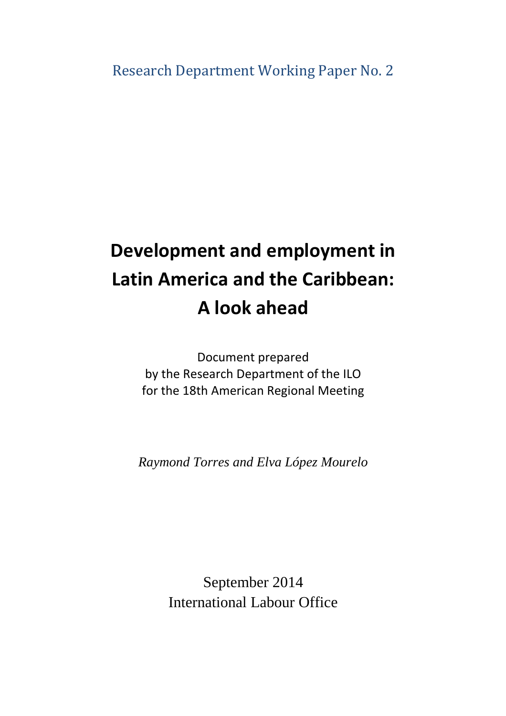# **Development and employment in Latin America and the Caribbean: A look ahead**

Document prepared by the Research Department of the ILO for the 18th American Regional Meeting

*Raymond Torres and Elva López Mourelo*

September 2014 International Labour Office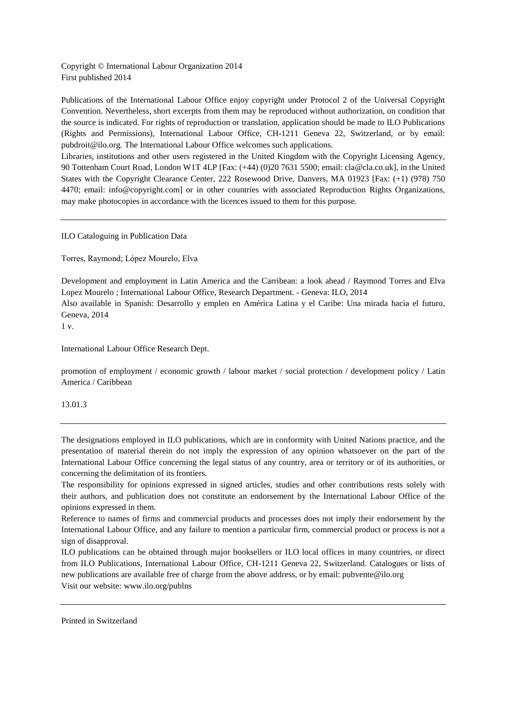Copyright © International Labour Organization 2014 First published 2014

Publications of the International Labour Office enjoy copyright under Protocol 2 of the Universal Copyright Convention. Nevertheless, short excerpts from them may be reproduced without authorization, on condition that the source is indicated. For rights of reproduction or translation, application should be made to ILO Publications (Rights and Permissions), International Labour Office, CH-1211 Geneva 22, Switzerland, or by email: pubdroit@ilo.org. The International Labour Office welcomes such applications.

Libraries, institutions and other users registered in the United Kingdom with the Copyright Licensing Agency, 90 Tottenham Court Road, London W1T 4LP [Fax: (+44) (0)20 7631 5500; email: cla@cla.co.uk], in the United States with the Copyright Clearance Center, 222 Rosewood Drive, Danvers, MA 01923 [Fax: (+1) (978) 750 4470; email: info@copyright.com] or in other countries with associated Reproduction Rights Organizations, may make photocopies in accordance with the licences issued to them for this purpose.

ILO Cataloguing in Publication Data

Torres, Raymond; López Mourelo, Elva

Development and employment in Latin America and the Carribean: a look ahead / Raymond Torres and Elva Lopez Mourelo ; International Labour Office, Research Department. - Geneva: ILO, 2014

Also available in Spanish: Desarrollo y empleo en América Latina y el Caribe: Una mirada hacia el futuro, Geneva, 2014

1 v.

International Labour Office Research Dept.

promotion of employment / economic growth / labour market / social protection / development policy / Latin America / Caribbean

13.01.3

The designations employed in ILO publications, which are in conformity with United Nations practice, and the presentation of material therein do not imply the expression of any opinion whatsoever on the part of the International Labour Office concerning the legal status of any country, area or territory or of its authorities, or concerning the delimitation of its frontiers.

The responsibility for opinions expressed in signed articles, studies and other contributions rests solely with their authors, and publication does not constitute an endorsement by the International Labour Office of the opinions expressed in them.

Reference to names of firms and commercial products and processes does not imply their endorsement by the International Labour Office, and any failure to mention a particular firm, commercial product or process is not a sign of disapproval.

ILO publications can be obtained through major booksellers or ILO local offices in many countries, or direct from ILO Publications, International Labour Office, CH-1211 Geneva 22, Switzerland. Catalogues or lists of new publications are available free of charge from the above address, or by email: pubvente@ilo.org Visit our website: www.ilo.org/publns

Printed in Switzerland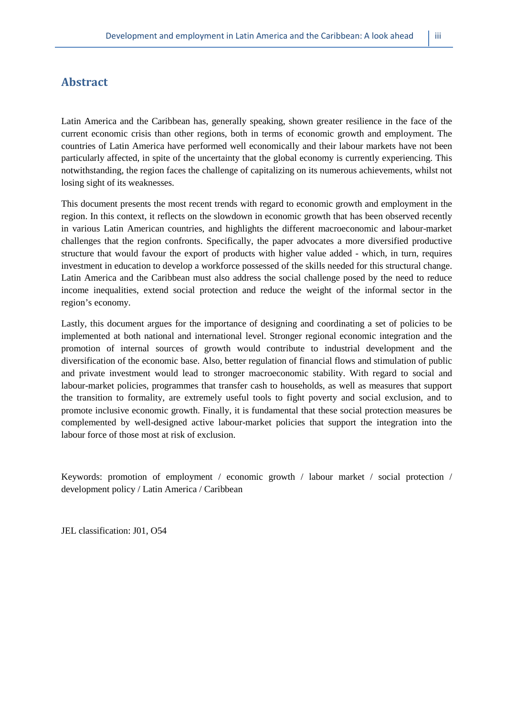### **Abstract**

Latin America and the Caribbean has, generally speaking, shown greater resilience in the face of the current economic crisis than other regions, both in terms of economic growth and employment. The countries of Latin America have performed well economically and their labour markets have not been particularly affected, in spite of the uncertainty that the global economy is currently experiencing. This notwithstanding, the region faces the challenge of capitalizing on its numerous achievements, whilst not losing sight of its weaknesses.

This document presents the most recent trends with regard to economic growth and employment in the region. In this context, it reflects on the slowdown in economic growth that has been observed recently in various Latin American countries, and highlights the different macroeconomic and labour-market challenges that the region confronts. Specifically, the paper advocates a more diversified productive structure that would favour the export of products with higher value added - which, in turn, requires investment in education to develop a workforce possessed of the skills needed for this structural change. Latin America and the Caribbean must also address the social challenge posed by the need to reduce income inequalities, extend social protection and reduce the weight of the informal sector in the region's economy.

Lastly, this document argues for the importance of designing and coordinating a set of policies to be implemented at both national and international level. Stronger regional economic integration and the promotion of internal sources of growth would contribute to industrial development and the diversification of the economic base. Also, better regulation of financial flows and stimulation of public and private investment would lead to stronger macroeconomic stability. With regard to social and labour-market policies, programmes that transfer cash to households, as well as measures that support the transition to formality, are extremely useful tools to fight poverty and social exclusion, and to promote inclusive economic growth. Finally, it is fundamental that these social protection measures be complemented by well-designed active labour-market policies that support the integration into the labour force of those most at risk of exclusion.

Keywords: promotion of employment / economic growth / labour market / social protection / development policy / Latin America / Caribbean

JEL classification: J01, O54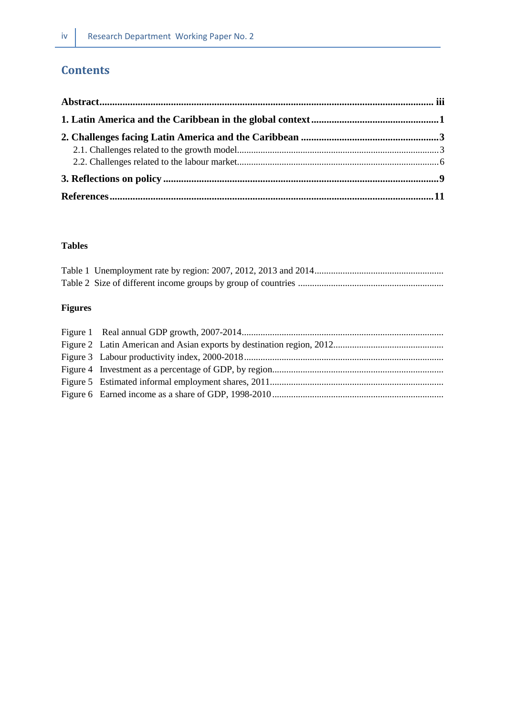# **Contents**

#### **Tables**

# **Figures**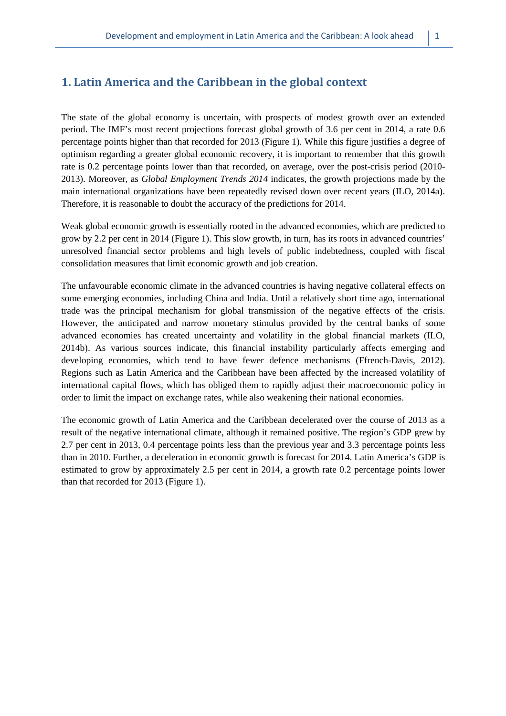#### **1. Latin America and the Caribbean in the global context**

The state of the global economy is uncertain, with prospects of modest growth over an extended period. The IMF's most recent projections forecast global growth of 3.6 per cent in 2014, a rate 0.6 percentage points higher than that recorded for 2013 (Figure 1). While this figure justifies a degree of optimism regarding a greater global economic recovery, it is important to remember that this growth rate is 0.2 percentage points lower than that recorded, on average, over the post-crisis period (2010- 2013). Moreover, as *Global Employment Trends 2014* indicates, the growth projections made by the main international organizations have been repeatedly revised down over recent years (ILO, 2014a). Therefore, it is reasonable to doubt the accuracy of the predictions for 2014.

Weak global economic growth is essentially rooted in the advanced economies, which are predicted to grow by 2.2 per cent in 2014 (Figure 1). This slow growth, in turn, has its roots in advanced countries' unresolved financial sector problems and high levels of public indebtedness, coupled with fiscal consolidation measures that limit economic growth and job creation.

The unfavourable economic climate in the advanced countries is having negative collateral effects on some emerging economies, including China and India. Until a relatively short time ago, international trade was the principal mechanism for global transmission of the negative effects of the crisis. However, the anticipated and narrow monetary stimulus provided by the central banks of some advanced economies has created uncertainty and volatility in the global financial markets (ILO, 2014b). As various sources indicate, this financial instability particularly affects emerging and developing economies, which tend to have fewer defence mechanisms (Ffrench-Davis, 2012). Regions such as Latin America and the Caribbean have been affected by the increased volatility of international capital flows, which has obliged them to rapidly adjust their macroeconomic policy in order to limit the impact on exchange rates, while also weakening their national economies.

The economic growth of Latin America and the Caribbean decelerated over the course of 2013 as a result of the negative international climate, although it remained positive. The region's GDP grew by 2.7 per cent in 2013, 0.4 percentage points less than the previous year and 3.3 percentage points less than in 2010. Further, a deceleration in economic growth is forecast for 2014. Latin America's GDP is estimated to grow by approximately 2.5 per cent in 2014, a growth rate 0.2 percentage points lower than that recorded for 2013 (Figure 1).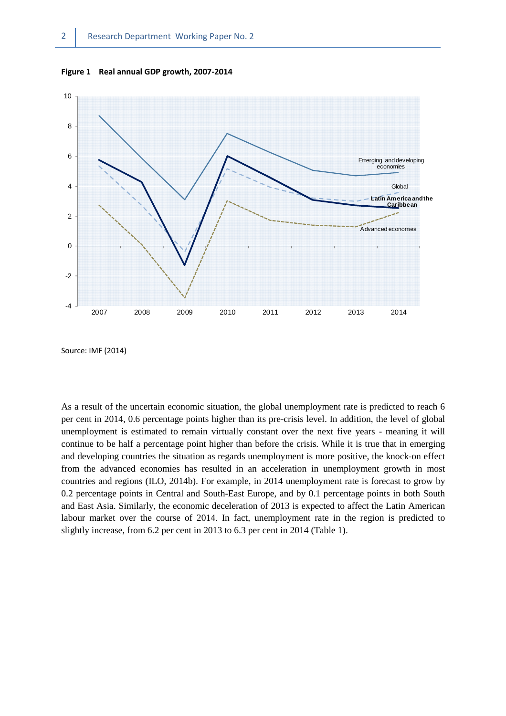**Figure 1 Real annual GDP growth, 2007-2014**



Source: IMF (2014)

As a result of the uncertain economic situation, the global unemployment rate is predicted to reach 6 per cent in 2014, 0.6 percentage points higher than its pre-crisis level. In addition, the level of global unemployment is estimated to remain virtually constant over the next five years - meaning it will continue to be half a percentage point higher than before the crisis. While it is true that in emerging and developing countries the situation as regards unemployment is more positive, the knock-on effect from the advanced economies has resulted in an acceleration in unemployment growth in most countries and regions (ILO, 2014b). For example, in 2014 unemployment rate is forecast to grow by 0.2 percentage points in Central and South-East Europe, and by 0.1 percentage points in both South and East Asia. Similarly, the economic deceleration of 2013 is expected to affect the Latin American labour market over the course of 2014. In fact, unemployment rate in the region is predicted to slightly increase, from 6.2 per cent in 2013 to 6.3 per cent in 2014 (Table 1).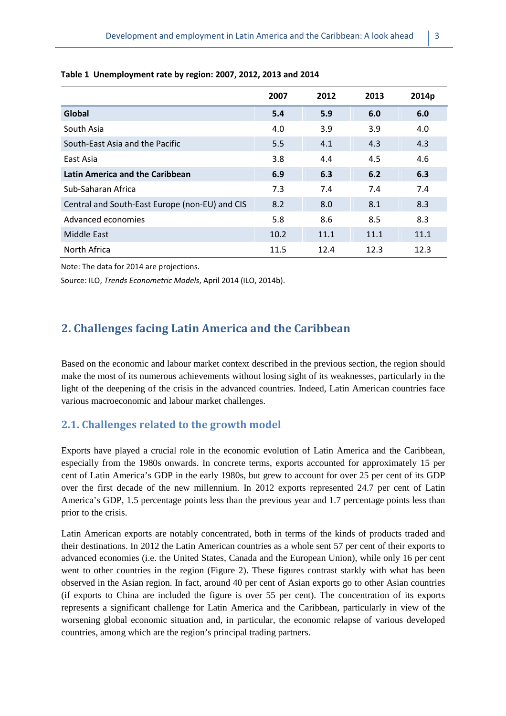|                                                | 2007 | 2012 | 2013 | 2014p |
|------------------------------------------------|------|------|------|-------|
| Global                                         | 5.4  | 5.9  | 6.0  | 6.0   |
| South Asia                                     | 4.0  | 3.9  | 3.9  | 4.0   |
| South-East Asia and the Pacific                | 5.5  | 4.1  | 4.3  | 4.3   |
| East Asia                                      | 3.8  | 4.4  | 4.5  | 4.6   |
| Latin America and the Caribbean                | 6.9  | 6.3  | 6.2  | 6.3   |
| Sub-Saharan Africa                             | 7.3  | 7.4  | 7.4  | 7.4   |
| Central and South-East Europe (non-EU) and CIS | 8.2  | 8.0  | 8.1  | 8.3   |
| Advanced economies                             | 5.8  | 8.6  | 8.5  | 8.3   |
| Middle East                                    | 10.2 | 11.1 | 11.1 | 11.1  |
| North Africa                                   | 11.5 | 12.4 | 12.3 | 12.3  |

#### **Table 1 Unemployment rate by region: 2007, 2012, 2013 and 2014**

Note: The data for 2014 are projections.

Source: ILO, *Trends Econometric Models*, April 2014 (ILO, 2014b).

# **2. Challenges facing Latin America and the Caribbean**

Based on the economic and labour market context described in the previous section, the region should make the most of its numerous achievements without losing sight of its weaknesses, particularly in the light of the deepening of the crisis in the advanced countries. Indeed, Latin American countries face various macroeconomic and labour market challenges.

# **2.1. Challenges related to the growth model**

Exports have played a crucial role in the economic evolution of Latin America and the Caribbean, especially from the 1980s onwards. In concrete terms, exports accounted for approximately 15 per cent of Latin America's GDP in the early 1980s, but grew to account for over 25 per cent of its GDP over the first decade of the new millennium. In 2012 exports represented 24.7 per cent of Latin America's GDP, 1.5 percentage points less than the previous year and 1.7 percentage points less than prior to the crisis.

Latin American exports are notably concentrated, both in terms of the kinds of products traded and their destinations. In 2012 the Latin American countries as a whole sent 57 per cent of their exports to advanced economies (i.e. the United States, Canada and the European Union), while only 16 per cent went to other countries in the region (Figure 2). These figures contrast starkly with what has been observed in the Asian region. In fact, around 40 per cent of Asian exports go to other Asian countries (if exports to China are included the figure is over 55 per cent). The concentration of its exports represents a significant challenge for Latin America and the Caribbean, particularly in view of the worsening global economic situation and, in particular, the economic relapse of various developed countries, among which are the region's principal trading partners.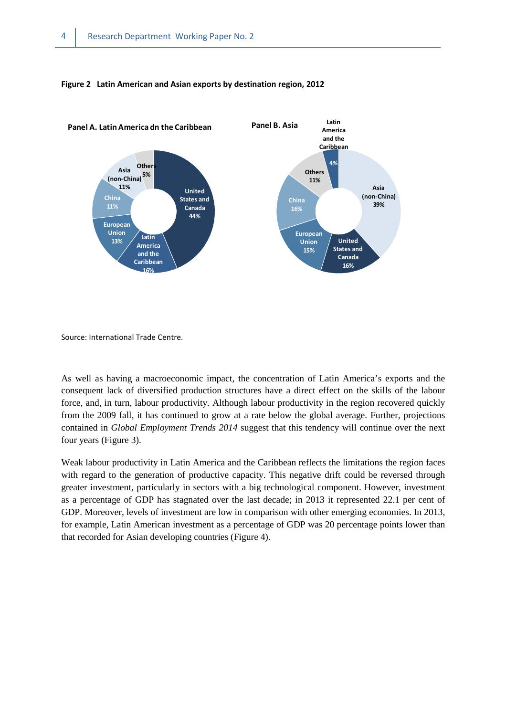

#### **Figure 2 Latin American and Asian exports by destination region, 2012**

Source: International Trade Centre.

As well as having a macroeconomic impact, the concentration of Latin America's exports and the consequent lack of diversified production structures have a direct effect on the skills of the labour force, and, in turn, labour productivity. Although labour productivity in the region recovered quickly from the 2009 fall, it has continued to grow at a rate below the global average. Further, projections contained in *Global Employment Trends 2014* suggest that this tendency will continue over the next four years (Figure 3).

Weak labour productivity in Latin America and the Caribbean reflects the limitations the region faces with regard to the generation of productive capacity. This negative drift could be reversed through greater investment, particularly in sectors with a big technological component. However, investment as a percentage of GDP has stagnated over the last decade; in 2013 it represented 22.1 per cent of GDP. Moreover, levels of investment are low in comparison with other emerging economies. In 2013, for example, Latin American investment as a percentage of GDP was 20 percentage points lower than that recorded for Asian developing countries (Figure 4).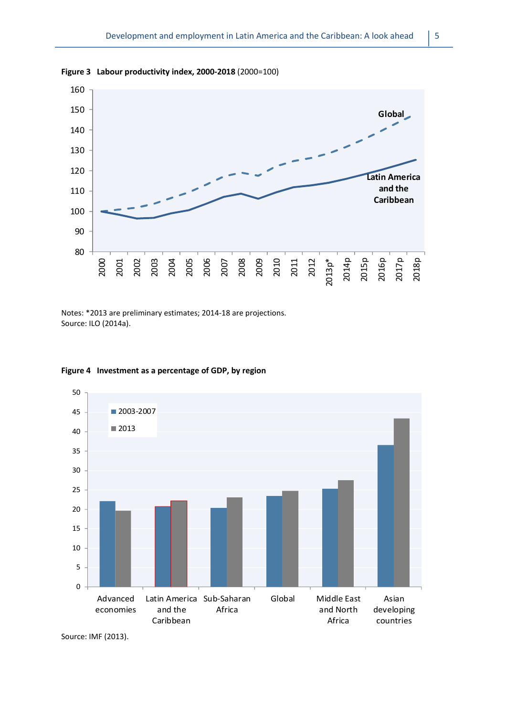

**Figure 3 Labour productivity index, 2000-2018** (2000=100)

Notes: \*2013 are preliminary estimates; 2014-18 are projections. Source: ILO (2014a).



#### **Figure 4 Investment as a percentage of GDP, by region**

Source: IMF (2013).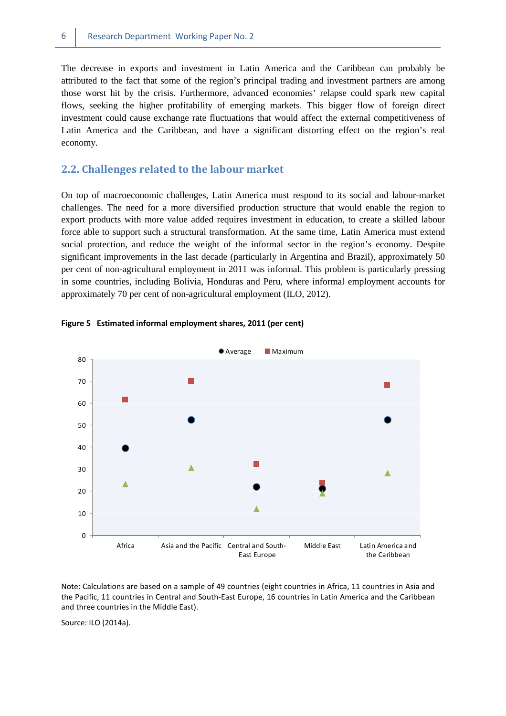The decrease in exports and investment in Latin America and the Caribbean can probably be attributed to the fact that some of the region's principal trading and investment partners are among those worst hit by the crisis. Furthermore, advanced economies' relapse could spark new capital flows, seeking the higher profitability of emerging markets. This bigger flow of foreign direct investment could cause exchange rate fluctuations that would affect the external competitiveness of Latin America and the Caribbean, and have a significant distorting effect on the region's real economy.

#### **2.2. Challenges related to the labour market**

On top of macroeconomic challenges, Latin America must respond to its social and labour-market challenges. The need for a more diversified production structure that would enable the region to export products with more value added requires investment in education, to create a skilled labour force able to support such a structural transformation. At the same time, Latin America must extend social protection, and reduce the weight of the informal sector in the region's economy. Despite significant improvements in the last decade (particularly in Argentina and Brazil), approximately 50 per cent of non-agricultural employment in 2011 was informal. This problem is particularly pressing in some countries, including Bolivia, Honduras and Peru, where informal employment accounts for approximately 70 per cent of non-agricultural employment (ILO, 2012).





Note: Calculations are based on a sample of 49 countries (eight countries in Africa, 11 countries in Asia and the Pacific, 11 countries in Central and South-East Europe, 16 countries in Latin America and the Caribbean and three countries in the Middle East).

Source: ILO (2014a).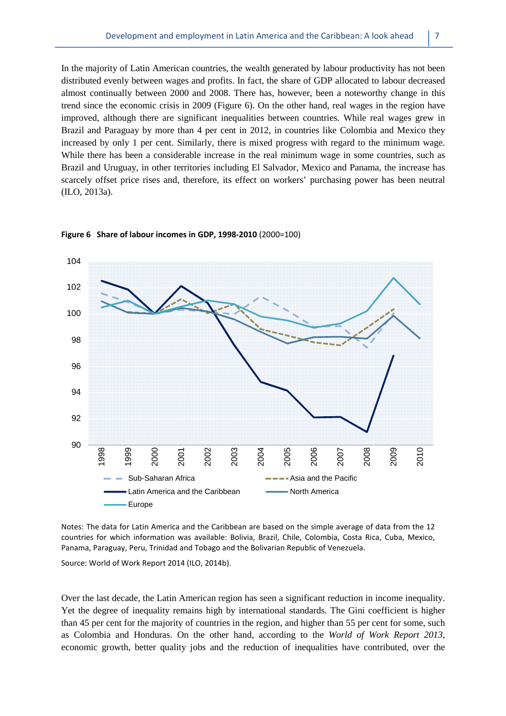In the majority of Latin American countries, the wealth generated by labour productivity has not been distributed evenly between wages and profits. In fact, the share of GDP allocated to labour decreased almost continually between 2000 and 2008. There has, however, been a noteworthy change in this trend since the economic crisis in 2009 (Figure 6). On the other hand, real wages in the region have improved, although there are significant inequalities between countries. While real wages grew in Brazil and Paraguay by more than 4 per cent in 2012, in countries like Colombia and Mexico they increased by only 1 per cent. Similarly, there is mixed progress with regard to the minimum wage. While there has been a considerable increase in the real minimum wage in some countries, such as Brazil and Uruguay, in other territories including El Salvador, Mexico and Panama, the increase has scarcely offset price rises and, therefore, its effect on workers' purchasing power has been neutral (ILO, 2013a).



#### **Figure 6 Share of labour incomes in GDP, 1998-2010** (2000=100)

Notes: The data for Latin America and the Caribbean are based on the simple average of data from the 12 countries for which information was available: Bolivia, Brazil, Chile, Colombia, Costa Rica, Cuba, Mexico, Panama, Paraguay, Peru, Trinidad and Tobago and the Bolivarian Republic of Venezuela.

Source: World of Work Report 2014 (ILO, 2014b).

Over the last decade, the Latin American region has seen a significant reduction in income inequality. Yet the degree of inequality remains high by international standards. The Gini coefficient is higher than 45 per cent for the majority of countries in the region, and higher than 55 per cent for some, such as Colombia and Honduras. On the other hand, according to the *World of Work Report 2013*, economic growth, better quality jobs and the reduction of inequalities have contributed, over the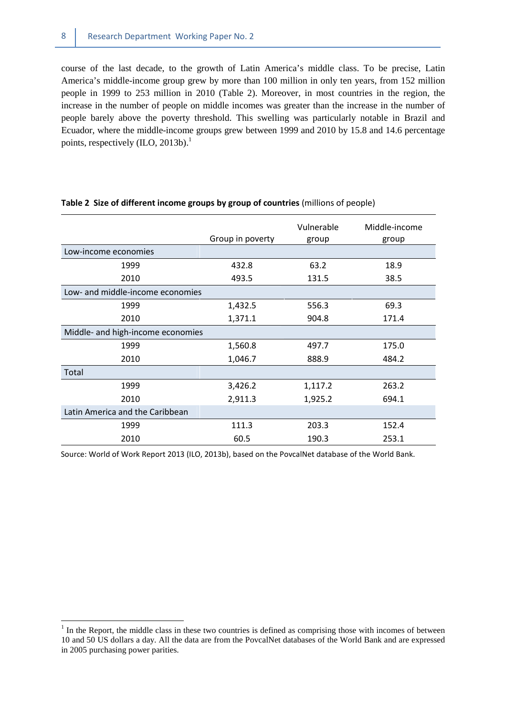course of the last decade, to the growth of Latin America's middle class. To be precise, Latin America's middle-income group grew by more than 100 million in only ten years, from 152 million people in 1999 to 253 million in 2010 (Table 2). Moreover, in most countries in the region, the increase in the number of people on middle incomes was greater than the increase in the number of people barely above the poverty threshold. This swelling was particularly notable in Brazil and Ecuador, where the middle-income groups grew between 1999 and 2010 by 15.8 and 14.6 percentage points, respectively (ILO, 2013b).<sup>1</sup>

|                                   |                  | Vulnerable | Middle-income |
|-----------------------------------|------------------|------------|---------------|
|                                   | Group in poverty | group      | group         |
| Low-income economies              |                  |            |               |
| 1999                              | 432.8            | 63.2       | 18.9          |
| 2010                              | 493.5            | 131.5      | 38.5          |
| Low- and middle-income economies  |                  |            |               |
| 1999                              | 1,432.5          | 556.3      | 69.3          |
| 2010                              | 1,371.1          | 904.8      | 171.4         |
| Middle- and high-income economies |                  |            |               |
| 1999                              | 1,560.8          | 497.7      | 175.0         |
| 2010                              | 1,046.7          | 888.9      | 484.2         |
| Total                             |                  |            |               |
| 1999                              | 3,426.2          | 1,117.2    | 263.2         |
| 2010                              | 2,911.3          | 1,925.2    | 694.1         |
| Latin America and the Caribbean   |                  |            |               |
| 1999                              | 111.3            | 203.3      | 152.4         |
| 2010                              | 60.5             | 190.3      | 253.1         |

#### **Table 2 Size of different income groups by group of countries** (millions of people)

Source: World of Work Report 2013 (ILO, 2013b), based on the PovcalNet database of the World Bank.

 $\overline{a}$ 

 $<sup>1</sup>$  In the Report, the middle class in these two countries is defined as comprising those with incomes of between</sup> 10 and 50 US dollars a day. All the data are from the PovcalNet databases of the World Bank and are expressed in 2005 purchasing power parities.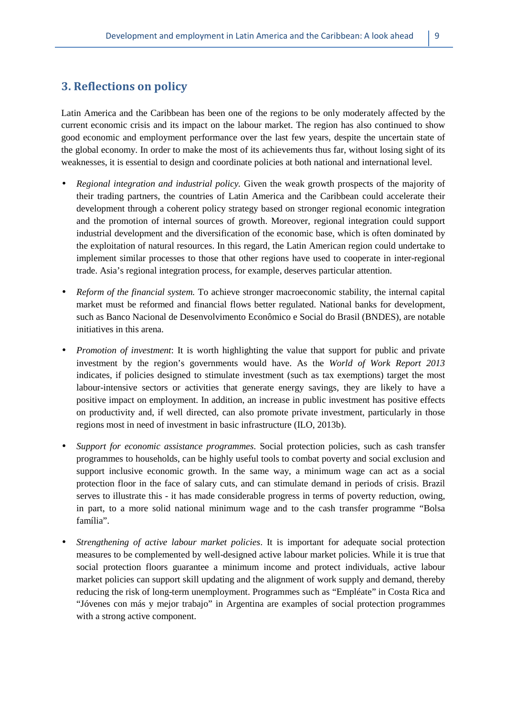### **3. Reflections on policy**

Latin America and the Caribbean has been one of the regions to be only moderately affected by the current economic crisis and its impact on the labour market. The region has also continued to show good economic and employment performance over the last few years, despite the uncertain state of the global economy. In order to make the most of its achievements thus far, without losing sight of its weaknesses, it is essential to design and coordinate policies at both national and international level.

- *Regional integration and industrial policy.* Given the weak growth prospects of the majority of their trading partners, the countries of Latin America and the Caribbean could accelerate their development through a coherent policy strategy based on stronger regional economic integration and the promotion of internal sources of growth. Moreover, regional integration could support industrial development and the diversification of the economic base, which is often dominated by the exploitation of natural resources. In this regard, the Latin American region could undertake to implement similar processes to those that other regions have used to cooperate in inter-regional trade. Asia's regional integration process, for example, deserves particular attention.
- *Reform of the financial system.* To achieve stronger macroeconomic stability, the internal capital market must be reformed and financial flows better regulated. National banks for development, such as Banco Nacional de Desenvolvimento Econômico e Social do Brasil (BNDES), are notable initiatives in this arena.
- *Promotion of investment*: It is worth highlighting the value that support for public and private investment by the region's governments would have. As the *World of Work Report 2013* indicates, if policies designed to stimulate investment (such as tax exemptions) target the most labour-intensive sectors or activities that generate energy savings, they are likely to have a positive impact on employment. In addition, an increase in public investment has positive effects on productivity and, if well directed, can also promote private investment, particularly in those regions most in need of investment in basic infrastructure (ILO, 2013b).
- *Support for economic assistance programmes*. Social protection policies, such as cash transfer programmes to households, can be highly useful tools to combat poverty and social exclusion and support inclusive economic growth. In the same way, a minimum wage can act as a social protection floor in the face of salary cuts, and can stimulate demand in periods of crisis. Brazil serves to illustrate this - it has made considerable progress in terms of poverty reduction, owing, in part, to a more solid national minimum wage and to the cash transfer programme "Bolsa família".
- *Strengthening of active labour market policies*. It is important for adequate social protection measures to be complemented by well-designed active labour market policies. While it is true that social protection floors guarantee a minimum income and protect individuals, active labour market policies can support skill updating and the alignment of work supply and demand, thereby reducing the risk of long-term unemployment. Programmes such as "Empléate" in Costa Rica and "Jóvenes con más y mejor trabajo" in Argentina are examples of social protection programmes with a strong active component.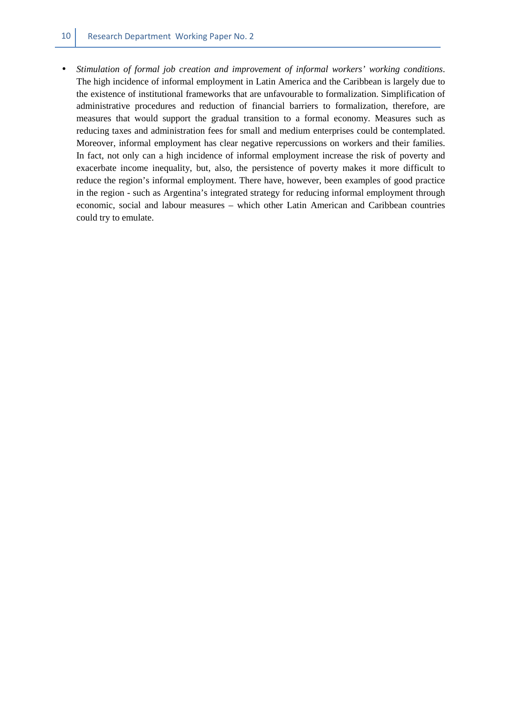• *Stimulation of formal job creation and improvement of informal workers' working conditions*. The high incidence of informal employment in Latin America and the Caribbean is largely due to the existence of institutional frameworks that are unfavourable to formalization. Simplification of administrative procedures and reduction of financial barriers to formalization, therefore, are measures that would support the gradual transition to a formal economy. Measures such as reducing taxes and administration fees for small and medium enterprises could be contemplated. Moreover, informal employment has clear negative repercussions on workers and their families. In fact, not only can a high incidence of informal employment increase the risk of poverty and exacerbate income inequality, but, also, the persistence of poverty makes it more difficult to reduce the region's informal employment. There have, however, been examples of good practice in the region - such as Argentina's integrated strategy for reducing informal employment through economic, social and labour measures – which other Latin American and Caribbean countries could try to emulate.